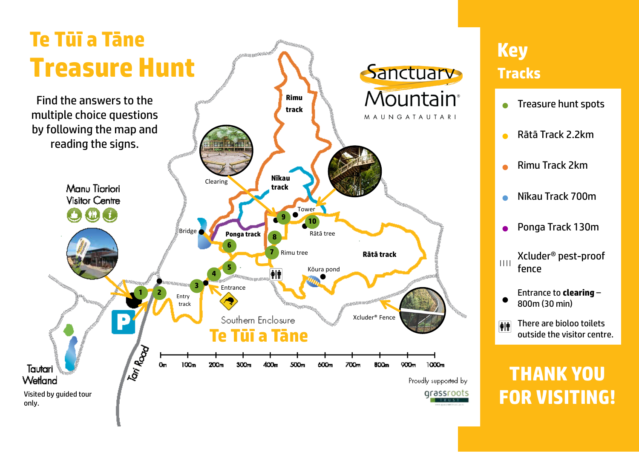

## **Key Tracks**

- **•** Treasure hunt spots
- Rātā Track 2.2km
- Rimu Track 2km
- Nīkau Track 700m
- Ponga Track 130m
- |||| Xcluder® pest-proof fence
- Entrance to **clearing** – 800m (30 min)
- There are bioloo toilets 仙 outside the visitor centre.

## **THANK YOU FOR VISITING!**